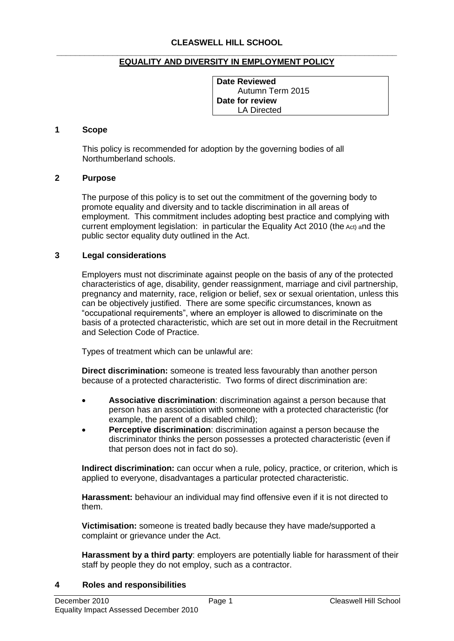#### **\_\_\_\_\_\_\_\_\_\_\_\_\_\_\_\_\_\_\_\_\_\_\_\_\_\_\_\_\_\_\_\_\_\_\_\_\_\_\_\_\_\_\_\_\_\_\_\_\_\_\_\_\_\_\_\_\_\_\_\_\_\_\_\_\_\_\_\_\_\_\_\_\_ EQUALITY AND DIVERSITY IN EMPLOYMENT POLICY**

**Date Reviewed** Autumn Term 2015 **Date for review** LA Directed

### **1 Scope**

This policy is recommended for adoption by the governing bodies of all Northumberland schools.

### **2 Purpose**

The purpose of this policy is to set out the commitment of the governing body to promote equality and diversity and to tackle discrimination in all areas of employment. This commitment includes adopting best practice and complying with current employment legislation: in particular the Equality Act 2010 (the Act) and the public sector equality duty outlined in the Act.

### **3 Legal considerations**

Employers must not discriminate against people on the basis of any of the protected characteristics of age, disability, gender reassignment, marriage and civil partnership, pregnancy and maternity, race, religion or belief, sex or sexual orientation, unless this can be objectively justified. There are some specific circumstances, known as "occupational requirements", where an employer is allowed to discriminate on the basis of a protected characteristic, which are set out in more detail in the Recruitment and Selection Code of Practice.

Types of treatment which can be unlawful are:

**Direct discrimination:** someone is treated less favourably than another person because of a protected characteristic. Two forms of direct discrimination are:

- **Associative discrimination**: discrimination against a person because that person has an association with someone with a protected characteristic (for example, the parent of a disabled child);
- **Perceptive discrimination:** discrimination against a person because the discriminator thinks the person possesses a protected characteristic (even if that person does not in fact do so).

**Indirect discrimination:** can occur when a rule, policy, practice, or criterion, which is applied to everyone, disadvantages a particular protected characteristic.

**Harassment:** behaviour an individual may find offensive even if it is not directed to them.

**Victimisation:** someone is treated badly because they have made/supported a complaint or grievance under the Act.

**Harassment by a third party**: employers are potentially liable for harassment of their staff by people they do not employ, such as a contractor.

#### **4 Roles and responsibilities**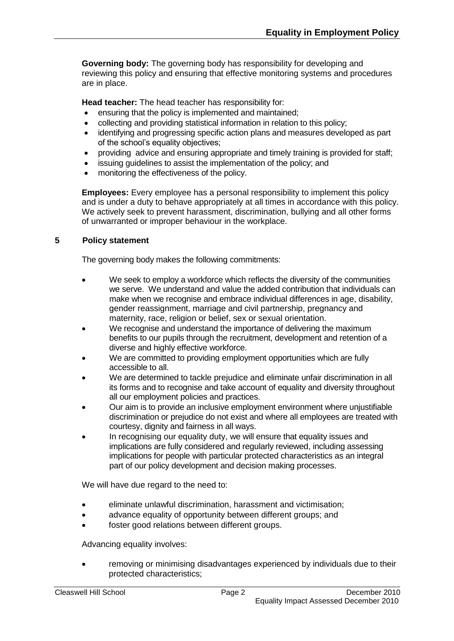**Governing body:** The governing body has responsibility for developing and reviewing this policy and ensuring that effective monitoring systems and procedures are in place.

**Head teacher:** The head teacher has responsibility for:

- ensuring that the policy is implemented and maintained;
- collecting and providing statistical information in relation to this policy;
- identifying and progressing specific action plans and measures developed as part of the school's equality objectives;
- providing advice and ensuring appropriate and timely training is provided for staff;
- issuing guidelines to assist the implementation of the policy; and
- monitoring the effectiveness of the policy.

**Employees:** Every employee has a personal responsibility to implement this policy and is under a duty to behave appropriately at all times in accordance with this policy. We actively seek to prevent harassment, discrimination, bullying and all other forms of unwarranted or improper behaviour in the workplace.

## **5 Policy statement**

The governing body makes the following commitments:

- We seek to employ a workforce which reflects the diversity of the communities we serve. We understand and value the added contribution that individuals can make when we recognise and embrace individual differences in age, disability, gender reassignment, marriage and civil partnership, pregnancy and maternity, race, religion or belief, sex or sexual orientation.
- We recognise and understand the importance of delivering the maximum benefits to our pupils through the recruitment, development and retention of a diverse and highly effective workforce.
- We are committed to providing employment opportunities which are fully accessible to all.
- We are determined to tackle prejudice and eliminate unfair discrimination in all its forms and to recognise and take account of equality and diversity throughout all our employment policies and practices.
- Our aim is to provide an inclusive employment environment where unjustifiable discrimination or prejudice do not exist and where all employees are treated with courtesy, dignity and fairness in all ways.
- In recognising our equality duty, we will ensure that equality issues and implications are fully considered and regularly reviewed, including assessing implications for people with particular protected characteristics as an integral part of our policy development and decision making processes.

We will have due regard to the need to:

- eliminate unlawful discrimination, harassment and victimisation;
- advance equality of opportunity between different groups; and
- foster good relations between different groups.

Advancing equality involves:

• removing or minimising disadvantages experienced by individuals due to their protected characteristics;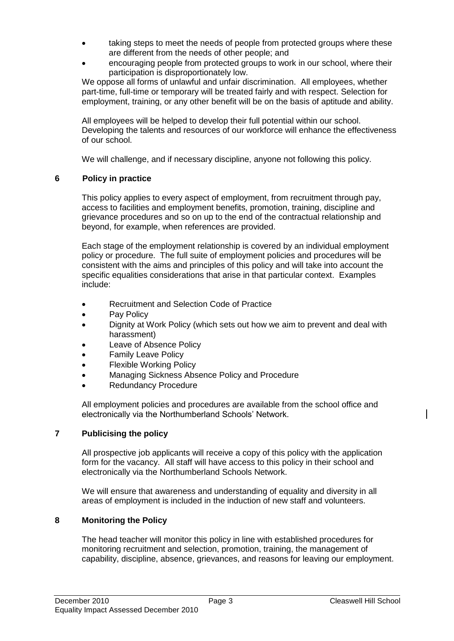- taking steps to meet the needs of people from protected groups where these are different from the needs of other people; and
- encouraging people from protected groups to work in our school, where their participation is disproportionately low.

We oppose all forms of unlawful and unfair discrimination. All employees, whether part-time, full-time or temporary will be treated fairly and with respect. Selection for employment, training, or any other benefit will be on the basis of aptitude and ability.

All employees will be helped to develop their full potential within our school. Developing the talents and resources of our workforce will enhance the effectiveness of our school.

We will challenge, and if necessary discipline, anyone not following this policy.

# **6 Policy in practice**

This policy applies to every aspect of employment, from recruitment through pay, access to facilities and employment benefits, promotion, training, discipline and grievance procedures and so on up to the end of the contractual relationship and beyond, for example, when references are provided.

Each stage of the employment relationship is covered by an individual employment policy or procedure. The full suite of employment policies and procedures will be consistent with the aims and principles of this policy and will take into account the specific equalities considerations that arise in that particular context. Examples include:

- Recruitment and Selection Code of Practice
- Pay Policy
- Dignity at Work Policy (which sets out how we aim to prevent and deal with harassment)
- Leave of Absence Policy
- Family Leave Policy
- **Flexible Working Policy**
- Managing Sickness Absence Policy and Procedure
- Redundancy Procedure

All employment policies and procedures are available from the school office and electronically via the Northumberland Schools' Network.

# **7 Publicising the policy**

All prospective job applicants will receive a copy of this policy with the application form for the vacancy. All staff will have access to this policy in their school and electronically via the Northumberland Schools Network.

We will ensure that awareness and understanding of equality and diversity in all areas of employment is included in the induction of new staff and volunteers.

## **8 Monitoring the Policy**

The head teacher will monitor this policy in line with established procedures for monitoring recruitment and selection, promotion, training, the management of capability, discipline, absence, grievances, and reasons for leaving our employment.